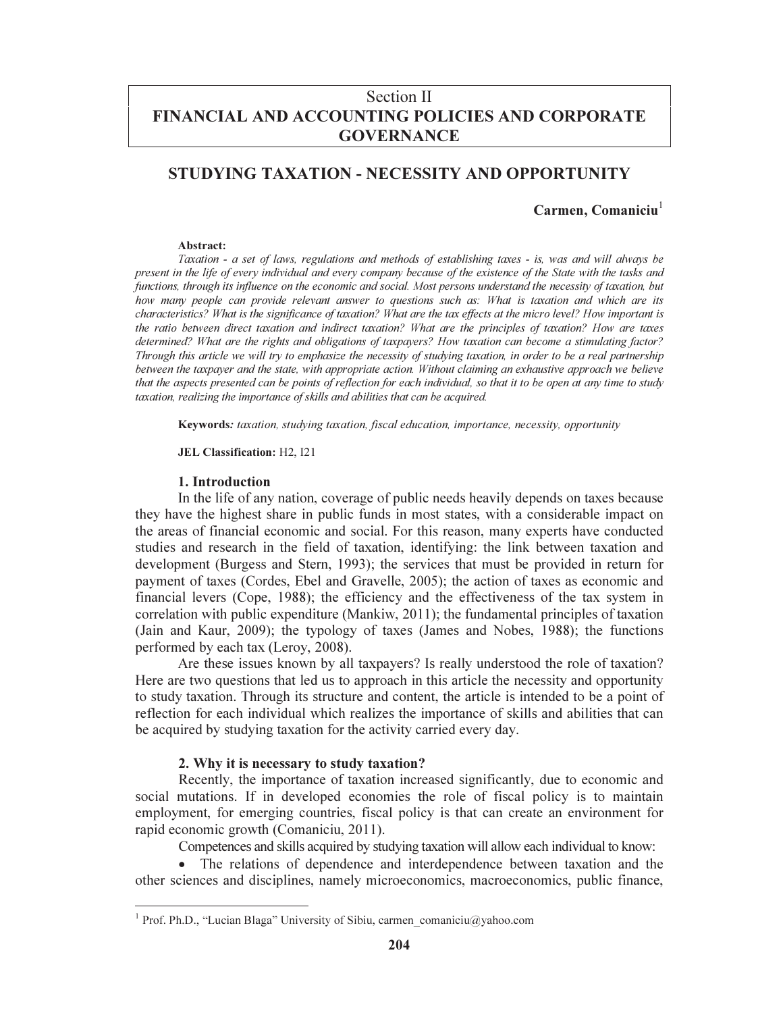# Section II FINANCIAL AND ACCOUNTING POLICIES AND CORPORATE **GOVERNANCE**

# STUDYING TAXATION - NECESSITY AND OPPORTUNITY

# $Carmen, Comaniciu<sup>1</sup>$

#### Abstract:

Taxation - a set of laws, regulations and methods of establishing taxes - is, was and will always be present in the life of every individual and every company because of the existence of the State with the tasks and functions, through its influence on the economic and social. Most persons understand the necessity of taxation, but how many people can provide relevant answer to questions such as: What is taxation and which are its characteristics? What is the significance of taxation? What are the tax effects at the micro level? How important is the ratio between direct taxation and indirect taxation? What are the principles of taxation? How are taxes determined? What are the rights and obligations of taxpayers? How taxation can become a stimulating factor? Through this article we will try to emphasize the necessity of studying taxation, in order to be a real partnership between the taxpayer and the state, with appropriate action. Without claiming an exhaustive approach we believe that the aspects presented can be points of reflection for each individual, so that it to be open at any time to study taxation, realizing the importance of skills and abilities that can be acquired.

Keywords: taxation, studying taxation, fiscal education, importance, necessity, opportunity

JEL Classification: H2, I21

#### 1. Introduction

In the life of any nation, coverage of public needs heavily depends on taxes because they have the highest share in public funds in most states, with a considerable impact on the areas of financial economic and social. For this reason, many experts have conducted studies and research in the field of taxation, identifying: the link between taxation and development (Burgess and Stern, 1993); the services that must be provided in return for payment of taxes (Cordes, Ebel and Gravelle, 2005); the action of taxes as economic and financial levers (Cope, 1988); the efficiency and the effectiveness of the tax system in correlation with public expenditure (Mankiw, 2011); the fundamental principles of taxation (Jain and Kaur, 2009); the typology of taxes (James and Nobes, 1988); the functions performed by each tax (Leroy, 2008).

Are these issues known by all taxpayers? Is really understood the role of taxation? Here are two questions that led us to approach in this article the necessity and opportunity to study taxation. Through its structure and content, the article is intended to be a point of reflection for each individual which realizes the importance of skills and abilities that can be acquired by studying taxation for the activity carried every day.

#### 2. Why it is necessary to study taxation?

Recently, the importance of taxation increased significantly, due to economic and social mutations. If in developed economies the role of fiscal policy is to maintain employment, for emerging countries, fiscal policy is that can create an environment for rapid economic growth (Comaniciu, 2011).

Competences and skills acquired by studying taxation will allow each individual to know:

• The relations of dependence and interdependence between taxation and the other sciences and disciplines, namely microeconomics, macroeconomics, public finance,

<sup>&</sup>lt;sup>1</sup> Prof. Ph.D., "Lucian Blaga" University of Sibiu, carmen\_comaniciu@yahoo.com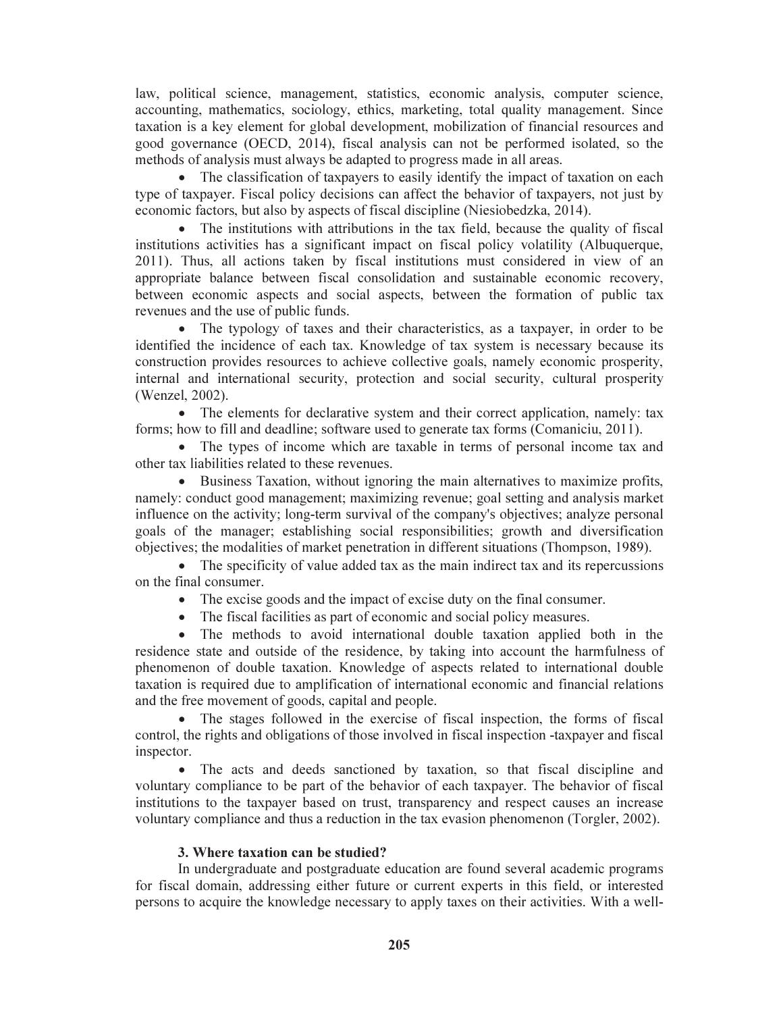law, political science, management, statistics, economic analysis, computer science, accounting, mathematics, sociology, ethics, marketing, total quality management. Since taxation is a key element for global development, mobilization of financial resources and good governance (OECD, 2014), fiscal analysis can not be performed isolated, so the methods of analysis must always be adapted to progress made in all areas.

• The classification of taxpayers to easily identify the impact of taxation on each type of taxpayer. Fiscal policy decisions can affect the behavior of taxpayers, not just by economic factors, but also by aspects of fiscal discipline (Niesiobedzka, 2014).

• The institutions with attributions in the tax field, because the quality of fiscal institutions activities has a significant impact on fiscal policy volatility (Albuquerque, 2011). Thus, all actions taken by fiscal institutions must considered in view of an appropriate balance between fiscal consolidation and sustainable economic recovery, between economic aspects and social aspects, between the formation of public tax revenues and the use of public funds.

• The typology of taxes and their characteristics, as a taxpayer, in order to be identified the incidence of each tax. Knowledge of tax system is necessary because its construction provides resources to achieve collective goals, namely economic prosperity, internal and international security, protection and social security, cultural prosperity (Wenzel, 2002).

• The elements for declarative system and their correct application, namely: tax forms; how to fill and deadline; software used to generate tax forms (Comaniciu, 2011).

• The types of income which are taxable in terms of personal income tax and other tax liabilities related to these revenues.

• Business Taxation, without ignoring the main alternatives to maximize profits, namely: conduct good management; maximizing revenue; goal setting and analysis market influence on the activity; long-term survival of the company's objectives; analyze personal goals of the manager; establishing social responsibilities; growth and diversification objectives; the modalities of market penetration in different situations (Thompson, 1989).

• The specificity of value added tax as the main indirect tax and its repercussions on the final consumer.

- The excise goods and the impact of excise duty on the final consumer.
- The fiscal facilities as part of economic and social policy measures.

• The methods to avoid international double taxation applied both in the residence state and outside of the residence, by taking into account the harmfulness of phenomenon of double taxation. Knowledge of aspects related to international double taxation is required due to amplification of international economic and financial relations and the free movement of goods, capital and people.

• The stages followed in the exercise of fiscal inspection, the forms of fiscal control, the rights and obligations of those involved in fiscal inspection -taxpayer and fiscal inspector.

• The acts and deeds sanctioned by taxation, so that fiscal discipline and voluntary compliance to be part of the behavior of each taxpayer. The behavior of fiscal institutions to the taxpayer based on trust, transparency and respect causes an increase voluntary compliance and thus a reduction in the tax evasion phenomenon (Torgler, 2002).

### 3. Where taxation can be studied?

In undergraduate and postgraduate education are found several academic programs for fiscal domain, addressing either future or current experts in this field, or interested persons to acquire the knowledge necessary to apply taxes on their activities. With a well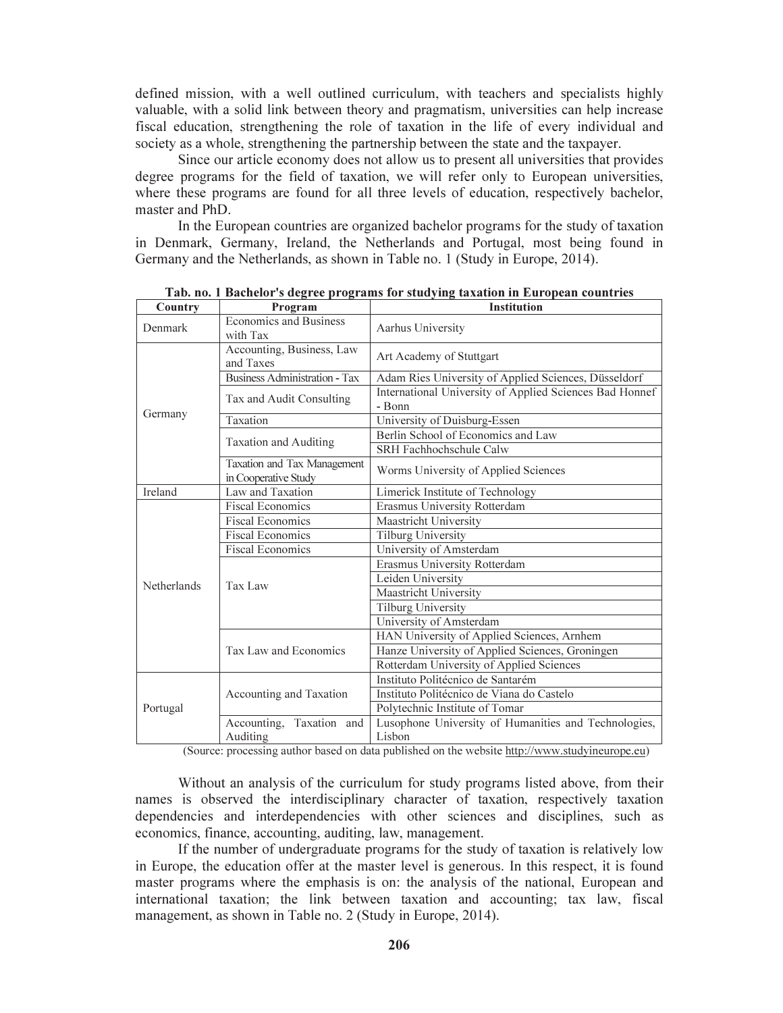defined mission, with a well outlined curriculum, with teachers and specialists highly valuable, with a solid link between theory and pragmatism, universities can help increase fiscal education, strengthening the role of taxation in the life of every individual and society as a whole, strengthening the partnership between the state and the taxpayer.

Since our article economy does not allow us to present all universities that provides degree programs for the field of taxation, we will refer only to European universities, where these programs are found for all three levels of education, respectively bachelor, master and PhD.

In the European countries are organized bachelor programs for the study of taxation in Denmark, Germany, Ireland, the Netherlands and Portugal, most being found in Germany and the Netherlands, as shown in Table no. 1 (Study in Europe, 2014).

| Country     | Program                                             | <b>Institution</b>                                                |  |  |
|-------------|-----------------------------------------------------|-------------------------------------------------------------------|--|--|
| Denmark     | <b>Economics and Business</b><br>with Tax           | Aarhus University                                                 |  |  |
| Germany     | Accounting, Business, Law<br>and Taxes              | Art Academy of Stuttgart                                          |  |  |
|             | <b>Business Administration - Tax</b>                | Adam Ries University of Applied Sciences, Düsseldorf              |  |  |
|             | Tax and Audit Consulting                            | International University of Applied Sciences Bad Honnef<br>- Bonn |  |  |
|             | Taxation                                            | University of Duisburg-Essen                                      |  |  |
|             |                                                     | Berlin School of Economics and Law                                |  |  |
|             | <b>Taxation and Auditing</b>                        | SRH Fachhochschule Calw                                           |  |  |
|             | Taxation and Tax Management<br>in Cooperative Study | Worms University of Applied Sciences                              |  |  |
| Ireland     | Law and Taxation                                    | Limerick Institute of Technology                                  |  |  |
|             | <b>Fiscal Economics</b>                             | Erasmus University Rotterdam                                      |  |  |
|             | <b>Fiscal Economics</b>                             | Maastricht University                                             |  |  |
|             | <b>Fiscal Economics</b>                             | <b>Tilburg University</b>                                         |  |  |
|             | <b>Fiscal Economics</b>                             | University of Amsterdam                                           |  |  |
|             | Tax Law                                             | Erasmus University Rotterdam                                      |  |  |
| Netherlands |                                                     | Leiden University                                                 |  |  |
|             |                                                     | Maastricht University                                             |  |  |
|             |                                                     | <b>Tilburg University</b>                                         |  |  |
|             |                                                     | University of Amsterdam                                           |  |  |
|             | Tax Law and Economics                               | HAN University of Applied Sciences, Arnhem                        |  |  |
|             |                                                     | Hanze University of Applied Sciences, Groningen                   |  |  |
|             |                                                     | Rotterdam University of Applied Sciences                          |  |  |
| Portugal    |                                                     | Instituto Politécnico de Santarém                                 |  |  |
|             | Accounting and Taxation                             | Instituto Politécnico de Viana do Castelo                         |  |  |
|             |                                                     | Polytechnic Institute of Tomar                                    |  |  |
|             | Accounting,<br>Taxation and                         | Lusophone University of Humanities and Technologies,              |  |  |
|             | Auditing                                            | Lisbon                                                            |  |  |

Tab. no. 1 Bachelor's degree programs for studying taxation in European countries

(Source: processing author based on data published on the website http://www.studyineurope.eu)

Without an analysis of the curriculum for study programs listed above, from their names is observed the interdisciplinary character of taxation, respectively taxation dependencies and interdependencies with other sciences and disciplines, such as economics, finance, accounting, auditing, law, management.

If the number of undergraduate programs for the study of taxation is relatively low in Europe, the education offer at the master level is generous. In this respect, it is found master programs where the emphasis is on: the analysis of the national, European and international taxation; the link between taxation and accounting; tax law, fiscal management, as shown in Table no. 2 (Study in Europe, 2014).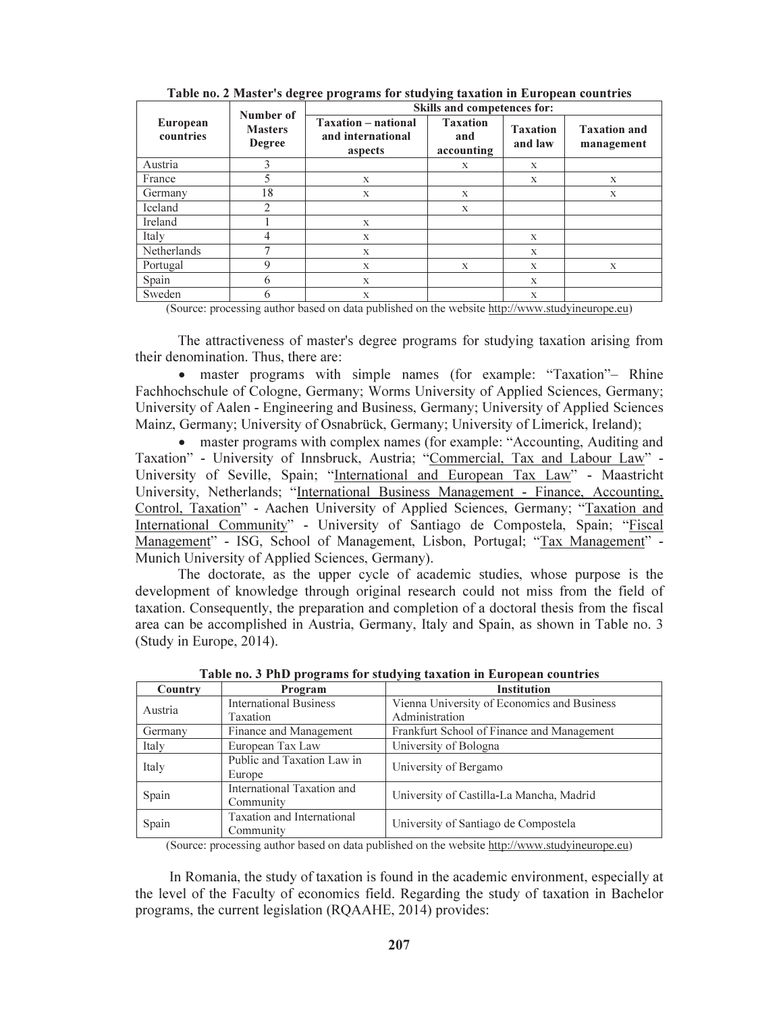|                       | Number of<br><b>Masters</b><br><b>Degree</b> | <b>Skills and competences for:</b>                         |                                      |                            |                                   |
|-----------------------|----------------------------------------------|------------------------------------------------------------|--------------------------------------|----------------------------|-----------------------------------|
| European<br>countries |                                              | <b>Taxation</b> – national<br>and international<br>aspects | <b>Taxation</b><br>and<br>accounting | <b>Taxation</b><br>and law | <b>Taxation and</b><br>management |
| Austria               | 3                                            |                                                            | X                                    | X                          |                                   |
| France                | 5                                            | X                                                          |                                      | X                          | X                                 |
| Germany               | 18                                           | X                                                          | X                                    |                            | X                                 |
| Iceland               | $\mathfrak{D}$                               |                                                            | X                                    |                            |                                   |
| Ireland               |                                              | X                                                          |                                      |                            |                                   |
| Italy                 | 4                                            | X                                                          |                                      | X                          |                                   |
| Netherlands           | ⇁                                            | X                                                          |                                      | $\mathbf x$                |                                   |
| Portugal              | 9                                            | X                                                          | X                                    | $\mathbf x$                | $\mathbf x$                       |
| Spain                 | 6                                            | X                                                          |                                      | $\mathbf x$                |                                   |
| Sweden                | 6                                            | X                                                          |                                      | X                          |                                   |

Table no. 2 Master's degree programs for studying taxation in European countries

(Source: processing author based on data published on the website http://www.studyineurope.eu)

The attractiveness of master's degree programs for studying taxation arising from their denomination. Thus, there are:

• master programs with simple names (for example: "Taxation"– Rhine Fachhochschule of Cologne, Germany; Worms University of Applied Sciences, Germany; University of Aalen - Engineering and Business, Germany; University of Applied Sciences Mainz, Germany; University of Osnabrück, Germany; University of Limerick, Ireland);

• master programs with complex names (for example: "Accounting, Auditing and Taxation" - University of Innsbruck, Austria; "Commercial, Tax and Labour Law" - University of Seville, Spain; "International and European Tax Law" - Maastricht University, Netherlands; "International Business Management - Finance, Accounting, Control, Taxation" - Aachen University of Applied Sciences, Germany; "Taxation and International Community" - University of Santiago de Compostela, Spain; "Fiscal Management" - ISG, School of Management, Lisbon, Portugal; "Tax Management" - Munich University of Applied Sciences, Germany).

The doctorate, as the upper cycle of academic studies, whose purpose is the development of knowledge through original research could not miss from the field of taxation. Consequently, the preparation and completion of a doctoral thesis from the fiscal area can be accomplished in Austria, Germany, Italy and Spain, as shown in Table no. 3 (Study in Europe, 2014).

| Country | Program                       | <b>Institution</b>                          |  |
|---------|-------------------------------|---------------------------------------------|--|
| Austria | <b>International Business</b> | Vienna University of Economics and Business |  |
|         | Taxation                      | Administration                              |  |
| Germany | Finance and Management        | Frankfurt School of Finance and Management  |  |
| Italy   | European Tax Law              | University of Bologna                       |  |
| Italy   | Public and Taxation Law in    | University of Bergamo                       |  |
|         | Europe                        |                                             |  |
| Spain   | International Taxation and    | University of Castilla-La Mancha, Madrid    |  |
|         | Community                     |                                             |  |
| Spain   | Taxation and International    | University of Santiago de Compostela        |  |
|         | Community                     |                                             |  |

Table no. 3 PhD programs for studying taxation in European countries

(Source: processing author based on data published on the website http://www.studyineurope.eu)

In Romania, the study of taxation is found in the academic environment, especially at the level of the Faculty of economics field. Regarding the study of taxation in Bachelor programs, the current legislation (RQAAHE, 2014) provides: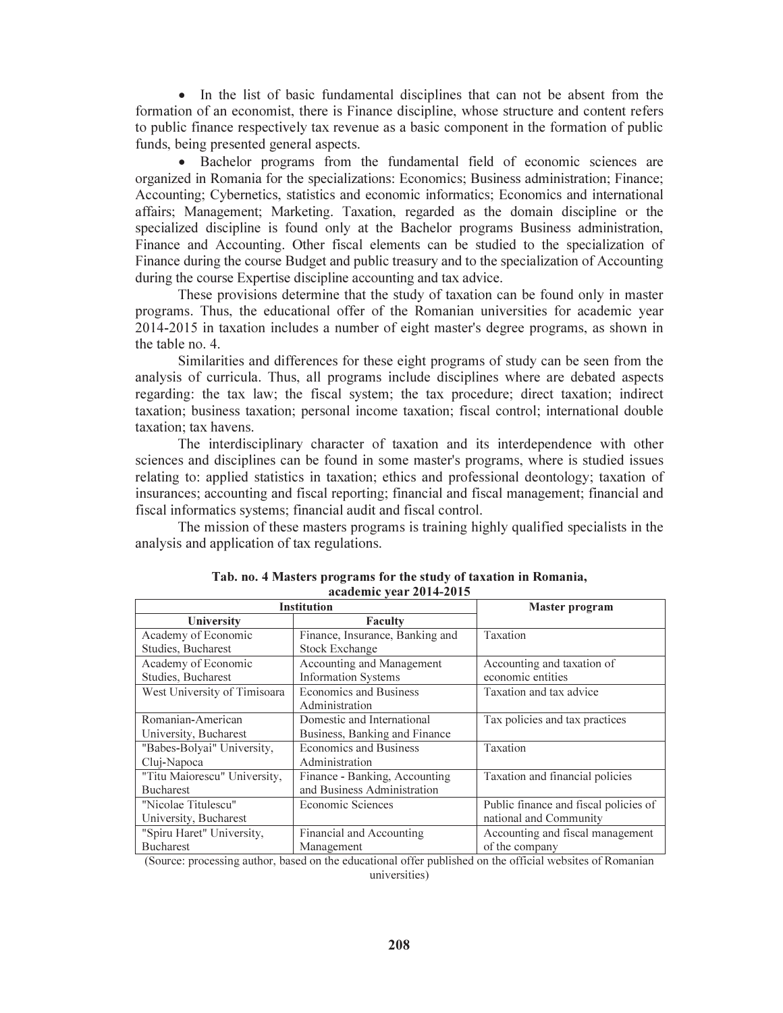• In the list of basic fundamental disciplines that can not be absent from the formation of an economist, there is Finance discipline, whose structure and content refers to public finance respectively tax revenue as a basic component in the formation of public funds, being presented general aspects.

• Bachelor programs from the fundamental field of economic sciences are organized in Romania for the specializations: Economics; Business administration; Finance; Accounting; Cybernetics, statistics and economic informatics; Economics and international affairs; Management; Marketing. Taxation, regarded as the domain discipline or the specialized discipline is found only at the Bachelor programs Business administration, Finance and Accounting. Other fiscal elements can be studied to the specialization of Finance during the course Budget and public treasury and to the specialization of Accounting during the course Expertise discipline accounting and tax advice.

These provisions determine that the study of taxation can be found only in master programs. Thus, the educational offer of the Romanian universities for academic year 2014-2015 in taxation includes a number of eight master's degree programs, as shown in the table no. 4.

Similarities and differences for these eight programs of study can be seen from the analysis of curricula. Thus, all programs include disciplines where are debated aspects regarding: the tax law; the fiscal system; the tax procedure; direct taxation; indirect taxation; business taxation; personal income taxation; fiscal control; international double taxation; tax havens.

The interdisciplinary character of taxation and its interdependence with other sciences and disciplines can be found in some master's programs, where is studied issues relating to: applied statistics in taxation; ethics and professional deontology; taxation of insurances; accounting and fiscal reporting; financial and fiscal management; financial and fiscal informatics systems; financial audit and fiscal control.

The mission of these masters programs is training highly qualified specialists in the analysis and application of tax regulations.

| <b>Institution</b>           | <b>Master program</b>           |                                       |  |
|------------------------------|---------------------------------|---------------------------------------|--|
| University                   | Faculty                         |                                       |  |
| Academy of Economic          | Finance, Insurance, Banking and | Taxation                              |  |
| Studies, Bucharest           | <b>Stock Exchange</b>           |                                       |  |
| Academy of Economic          | Accounting and Management       | Accounting and taxation of            |  |
| Studies, Bucharest           | <b>Information Systems</b>      | economic entities                     |  |
| West University of Timisoara | Economics and Business          | Taxation and tax advice               |  |
|                              | Administration                  |                                       |  |
| Romanian-American            | Domestic and International      | Tax policies and tax practices        |  |
| University, Bucharest        | Business, Banking and Finance   |                                       |  |
| "Babes-Bolyai" University,   | Economics and Business          | Taxation                              |  |
| Cluj-Napoca                  | Administration                  |                                       |  |
| "Titu Maiorescu" University, | Finance - Banking, Accounting   | Taxation and financial policies       |  |
| <b>Bucharest</b>             | and Business Administration     |                                       |  |
| "Nicolae Titulescu"          | Economic Sciences               | Public finance and fiscal policies of |  |
| University, Bucharest        |                                 | national and Community                |  |
| "Spiru Haret" University,    | Financial and Accounting        | Accounting and fiscal management      |  |
| <b>Bucharest</b>             | Management                      | of the company                        |  |

Tab. no. 4 Masters programs for the study of taxation in Romania, academic year 2014-2015

(Source: processing author, based on the educational offer published on the official websites of Romanian universities)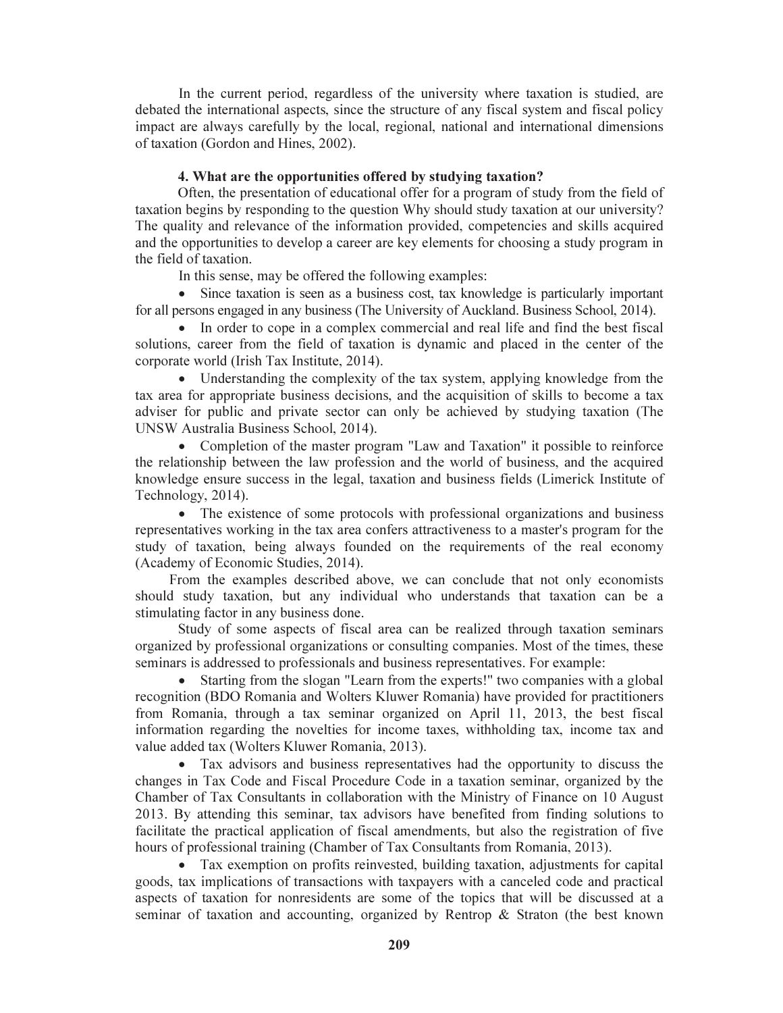In the current period, regardless of the university where taxation is studied, are debated the international aspects, since the structure of any fiscal system and fiscal policy impact are always carefully by the local, regional, national and international dimensions of taxation (Gordon and Hines, 2002).

# 4. What are the opportunities offered by studying taxation?

Often, the presentation of educational offer for a program of study from the field of taxation begins by responding to the question Why should study taxation at our university? The quality and relevance of the information provided, competencies and skills acquired and the opportunities to develop a career are key elements for choosing a study program in the field of taxation.

In this sense, may be offered the following examples:

• Since taxation is seen as a business cost, tax knowledge is particularly important for all persons engaged in any business (The University of Auckland. Business School, 2014).

• In order to cope in a complex commercial and real life and find the best fiscal solutions, career from the field of taxation is dynamic and placed in the center of the corporate world (Irish Tax Institute, 2014).

• Understanding the complexity of the tax system, applying knowledge from the tax area for appropriate business decisions, and the acquisition of skills to become a tax adviser for public and private sector can only be achieved by studying taxation (The UNSW Australia Business School, 2014).

• Completion of the master program "Law and Taxation" it possible to reinforce the relationship between the law profession and the world of business, and the acquired knowledge ensure success in the legal, taxation and business fields (Limerick Institute of Technology, 2014).

• The existence of some protocols with professional organizations and business representatives working in the tax area confers attractiveness to a master's program for the study of taxation, being always founded on the requirements of the real economy (Academy of Economic Studies, 2014).

From the examples described above, we can conclude that not only economists should study taxation, but any individual who understands that taxation can be a stimulating factor in any business done.

Study of some aspects of fiscal area can be realized through taxation seminars organized by professional organizations or consulting companies. Most of the times, these seminars is addressed to professionals and business representatives. For example:

• Starting from the slogan "Learn from the experts!" two companies with a global recognition (BDO Romania and Wolters Kluwer Romania) have provided for practitioners from Romania, through a tax seminar organized on April 11, 2013, the best fiscal information regarding the novelties for income taxes, withholding tax, income tax and value added tax (Wolters Kluwer Romania, 2013).

• Tax advisors and business representatives had the opportunity to discuss the changes in Tax Code and Fiscal Procedure Code in a taxation seminar, organized by the Chamber of Tax Consultants in collaboration with the Ministry of Finance on 10 August 2013. By attending this seminar, tax advisors have benefited from finding solutions to facilitate the practical application of fiscal amendments, but also the registration of five hours of professional training (Chamber of Tax Consultants from Romania, 2013).

• Tax exemption on profits reinvested, building taxation, adjustments for capital goods, tax implications of transactions with taxpayers with a canceled code and practical aspects of taxation for nonresidents are some of the topics that will be discussed at a seminar of taxation and accounting, organized by Rentrop & Straton (the best known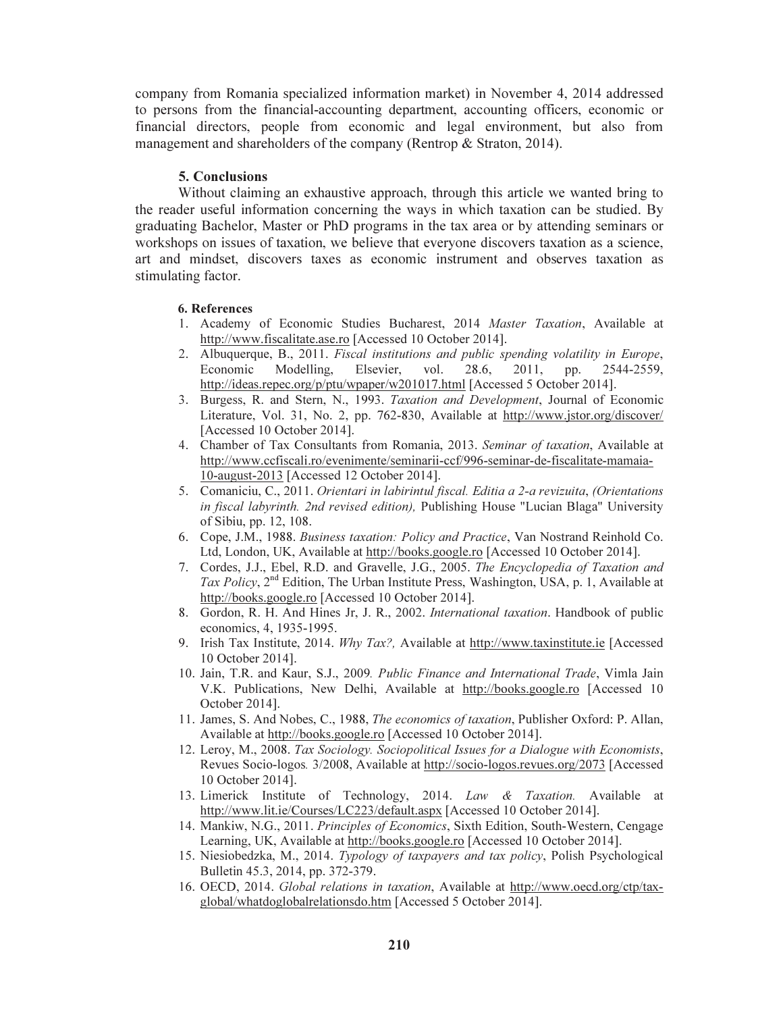company from Romania specialized information market) in November 4, 2014 addressed to persons from the financial-accounting department, accounting officers, economic or financial directors, people from economic and legal environment, but also from management and shareholders of the company (Rentrop & Straton, 2014).

# 5. Conclusions

Without claiming an exhaustive approach, through this article we wanted bring to the reader useful information concerning the ways in which taxation can be studied. By graduating Bachelor, Master or PhD programs in the tax area or by attending seminars or workshops on issues of taxation, we believe that everyone discovers taxation as a science, art and mindset, discovers taxes as economic instrument and observes taxation as stimulating factor.

### 6. References

- 1. Academy of Economic Studies Bucharest, 2014 *Master Taxation*, Available at http://www.fiscalitate.ase.ro [Accessed 10 October 2014].
- 2. Albuquerque, B., 2011. *Fiscal institutions and public spending volatility in Europe*, Economic Modelling, Elsevier, vol. 28.6, 2011, pp. 2544-2559, http://ideas.repec.org/p/ptu/wpaper/w201017.html [Accessed 5 October 2014].
- 3. Burgess, R. and Stern, N., 1993. *Taxation and Development*, Journal of Economic Literature, Vol. 31, No. 2, pp. 762-830, Available at http://www.jstor.org/discover/ [Accessed 10 October 2014].
- 4. Chamber of Tax Consultants from Romania, 2013. *Seminar of taxation*, Available at http://www.ccfiscali.ro/evenimente/seminarii-ccf/996-seminar-de-fiscalitate-mamaia-10-august-2013 [Accessed 12 October 2014].
- 5. Comaniciu, C., 2011. *Orientari in labirintul fiscal. Editia a 2-a revizuita*, *(Orientations in fiscal labyrinth. 2nd revised edition),* Publishing House "Lucian Blaga" University of Sibiu, pp. 12, 108.
- 6. Cope, J.M., 1988. *Business taxation: Policy and Practice*, Van Nostrand Reinhold Co. Ltd, London, UK, Available at http://books.google.ro [Accessed 10 October 2014].
- 7. Cordes, J.J., Ebel, R.D. and Gravelle, J.G., 2005. *The Encyclopedia of Taxation and Tax Policy*, 2nd Edition, The Urban Institute Press, Washington, USA, p. 1, Available at http://books.google.ro [Accessed 10 October 2014].
- 8. Gordon, R. H. And Hines Jr, J. R., 2002. *International taxation*. Handbook of public economics, 4, 1935-1995.
- 9. Irish Tax Institute, 2014. *Why Tax?,* Available at http://www.taxinstitute.ie [Accessed 10 October 2014].
- 10. Jain, T.R. and Kaur, S.J., 2009*. Public Finance and International Trade*, Vimla Jain V.K. Publications, New Delhi, Available at http://books.google.ro [Accessed 10 October 2014].
- 11. James, S. And Nobes, C., 1988, *The economics of taxation*, Publisher Oxford: P. Allan, Available at http://books.google.ro [Accessed 10 October 2014].
- 12. Leroy, M., 2008. *Tax Sociology. Sociopolitical Issues for a Dialogue with Economists*, Revues Socio-logos*.* 3/2008, Available at http://socio-logos.revues.org/2073 [Accessed 10 October 2014].
- 13. Limerick Institute of Technology, 2014. *Law & Taxation.* Available at http://www.lit.ie/Courses/LC223/default.aspx [Accessed 10 October 2014].
- 14. Mankiw, N.G., 2011. *Principles of Economics*, Sixth Edition, South-Western, Cengage Learning, UK, Available at http://books.google.ro [Accessed 10 October 2014].
- 15. Niesiobedzka, M., 2014. *Typology of taxpayers and tax policy*, Polish Psychological Bulletin 45.3, 2014, pp. 372-379.
- 16. OECD, 2014. *Global relations in taxation*, Available at http://www.oecd.org/ctp/taxglobal/whatdoglobalrelationsdo.htm [Accessed 5 October 2014].